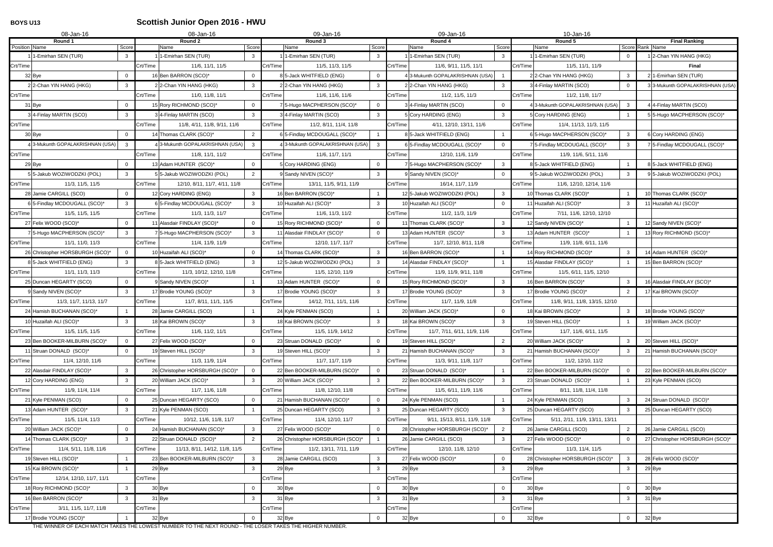# **BOYS U13 Scottish Junior Open 2016 - HWU**

| 08-Jan-16<br>08-Jan-16                          |                              |          |                                                 | 09-Jan-16 |                                                   |          | 09-Jan-16                       |                | 10-Jan-16 |                                  |                |                                         |  |  |
|-------------------------------------------------|------------------------------|----------|-------------------------------------------------|-----------|---------------------------------------------------|----------|---------------------------------|----------------|-----------|----------------------------------|----------------|-----------------------------------------|--|--|
| Round 1<br>Position Name                        | Score                        |          | Round 2<br>Score<br>Name                        |           | Round 3<br>Score<br>Name                          |          | Round 4<br>Name                 | Score          |           | Round 5<br>Name                  |                | <b>Final Ranking</b><br>Score Rank Name |  |  |
| 1-Emirhan SEN (TUR)                             | $\mathbf{3}$                 |          | 1-Emirhan SEN (TUR)<br>$\mathbf{3}$             |           | 1-Emirhan SEN (TUR)<br>3                          |          | 1-Emirhan SEN (TUR)             | $\mathbf{3}$   |           | 1-Emirhan SEN (TUR)              |                | 1 2-Chan YIN HANG (HKG)                 |  |  |
| Crt/Time                                        |                              | Crt/Time | 11/6, 11/1, 11/5                                | Crt/Time  | 11/5, 11/3, 11/5                                  | Crt/Time | 11/6, 9/11, 11/5, 11/1          |                | Crt/Time  | 11/5, 11/1, 11/9                 |                | Final                                   |  |  |
| 32 Bye                                          | $\mathbf{0}$                 |          | 16 Ben BARRON (SCO)*<br>$\overline{0}$          |           | 85-Jack WHITFIELD (ENG)<br>$\Omega$               |          | 3-Mukunth GOPALAKRISHNAN (USA)  |                |           | 2 2-Chan YIN HANG (HKG)          | -3             | 2 1-Emirhan SEN (TUR)                   |  |  |
| 22-Chan YIN HANG (HKG)                          | $\mathbf{3}$                 |          | $\mathbf{3}$<br>22-Chan YIN HANG (HKG)          |           | 22-Chan YIN HANG (HKG)<br>3                       |          | 2 2-Chan YIN HANG (HKG)         | $\mathbf{3}$   |           | 3 4-Finlay MARTIN (SCO)          | $\Omega$       | 33-Mukunth GOPALAKRISHNAN (USA)         |  |  |
| Crt/Time                                        |                              | Crt/Time | 11/0, 11/8, 11/1                                | Crt/Time  | 11/6, 11/6, 11/6                                  | Crt/Time | 11/2, 11/5, 11/3                |                | Crt/Time  | 11/2, 11/8, 11/7                 |                |                                         |  |  |
| 31 Bye                                          | $\Omega$                     |          | 15 Rory RICHMOND (SCO)*<br>$\Omega$             |           | 7 5-Hugo MACPHERSON (SCO)*<br>$\Omega$            |          | 3 4-Finlay MARTIN (SCO)         | $\overline{0}$ |           | 4 3-Mukunth GOPALAKRISHNAN (USA) | 3              | 4 4-Finlay MARTIN (SCO)                 |  |  |
| 3 4-Finlay MARTIN (SCO)                         | 3                            |          | 34-Finlay MARTIN (SCO)<br>3                     |           | 34-Finlay MARTIN (SCO)<br>3                       |          | 5 Cory HARDING (ENG)            | $\mathbf{3}$   |           | 5 Cory HARDING (ENG)             |                | 5 5-Hugo MACPHERSON (SCO)*              |  |  |
| Crt/Time                                        |                              | Crt/Time | 11/8, 4/11, 11/8, 9/11, 11/6                    | Crt/Time  | 11/2, 8/11, 11/4, 11/8                            | Crt/Time | 4/11, 12/10, 13/11, 11/6        |                | Crt/Time  | 11/4, 11/13, 11/3, 11/5          |                |                                         |  |  |
| 30 Bye                                          | $\overline{0}$               |          | 14 Thomas CLARK (SCO)*<br>$\overline{2}$        |           | 6 5-Findlay MCDOUGALL (SCO)*                      |          | 8 5-Jack WHITFIELD (ENG)        |                |           | 65-Hugo MACPHERSON (SCO)*        | 3              | 6 Cory HARDING (ENG)                    |  |  |
| 4 3-Mukunth GOPALAKRISHNAN (USA)                | $\mathbf{3}$                 |          | 43-Mukunth GOPALAKRISHNAN (USA)<br>$\mathbf{3}$ |           | 4 3-Mukunth GOPALAKRISHNAN (USA)<br>$\mathcal{R}$ |          | 6 5-Findlay MCDOUGALL (SCO)*    | $\overline{0}$ |           | 7 5-Findlay MCDOUGALL (SCO)*     | -3             | 7 5-Findlay MCDOUGALL (SCO)*            |  |  |
| Crt/Time                                        |                              | Crt/Time | 11/8, 11/1, 11/2                                | Crt/Time  | 11/6, 11/7, 11/1                                  | Crt/Time | 12/10, 11/6, 11/9               |                | Crt/Time  | 11/9, 11/6, 5/11, 11/6           |                |                                         |  |  |
| 29 Bye                                          | $\mathbf{0}$                 |          | 13 Adam HUNTER (SCO)*<br>$\overline{0}$         |           | 5 Cory HARDING (ENG)<br>$\Omega$                  |          | 7 5-Hugo MACPHERSON (SCO)*      | $\mathbf{3}$   |           | 8 5-Jack WHITFIELD (ENG)         |                | 8 5-Jack WHITFIELD (ENG)                |  |  |
| 55-Jakub WOZIWODZKI (POL)                       | 3 <sup>1</sup>               |          | 5 5-Jakub WOZIWODZKI (POL)<br>$2^{\circ}$       |           | 9 Sandy NIVEN (SCO)*<br>$\mathbf{3}$              |          | 9 Sandy NIVEN (SCO)*            | $\overline{0}$ |           | 95-Jakub WOZIWODZKI (POL)        | -3             | 95-Jakub WOZIWODZKI (POL)               |  |  |
| Crt/Time<br>11/3, 11/5, 11/5                    |                              | Crt/Time | 12/10, 8/11, 11/7, 4/11, 11/8                   | Crt/Time  | 13/11, 11/5, 9/11, 11/9                           | Crt/Time | 16/14, 11/7, 11/9               |                | Crt/Time  | 11/6, 12/10, 12/14, 11/6         |                |                                         |  |  |
| 28 Jamie CARGILL (SCO)                          | $\overline{0}$               |          | 12 Cory HARDING (ENG)<br>$\mathbf{3}$           |           | 16 Ben BARRON (SCO)*                              |          | 12 5-Jakub WOZIWODZKI (POL)     | $\mathbf{3}$   |           | 10 Thomas CLARK (SCO)*           |                | 10 Thomas CLARK (SCO)*                  |  |  |
| 6 5-Findlay MCDOUGALL (SCO)*                    | $\mathbf{3}$                 |          | $\mathbf{3}$<br>6 5-Findlay MCDOUGALL (SCO)*    |           | 10 Huzaifah ALI (SCO)*<br>$\mathbf{3}$            |          | 10 Huzaifah ALI (SCO)*          | $\overline{0}$ |           | 11 Huzaifah ALI (SCO)*           | -3             | 11 Huzaifah ALI (SCO)*                  |  |  |
| 11/5, 11/5, 11/5<br>Crt/Time                    |                              | Crt/Time | 11/3, 11/3, 11/7                                | Crt/Time  | 11/6, 11/3, 11/2                                  | Crt/Time | 11/2, 11/3, 11/9                |                | Crt/Time  | 7/11, 11/6, 12/10, 12/10         |                |                                         |  |  |
| 27 Felix WOOD (SCO)*                            | $\mathbf 0$                  |          | $\overline{0}$<br>11 Alasdair FINDLAY (SCO)*    |           | 15 Rory RICHMOND (SCO)*<br>$\Omega$               |          | 11 Thomas CLARK (SCO)*          | $\mathbf{3}$   |           | 12 Sandy NIVEN (SCO)*            |                | 12 Sandy NIVEN (SCO)*                   |  |  |
| 75-Hugo MACPHERSON (SCO)*                       | $\mathbf{3}$                 |          | 75-Hugo MACPHERSON (SCO)*<br>3                  |           | 11 Alasdair FINDLAY (SCO)*<br>$\Omega$            |          | 13 Adam HUNTER (SCO)*           | $\mathbf{3}$   |           | 13 Adam HUNTER (SCO)*            |                | 13 Rory RICHMOND (SCO)*                 |  |  |
| 11/1, 11/0, 11/3<br>Crt/Time                    |                              | Crt/Time | 11/4, 11/9, 11/9                                | Crt/Time  | 12/10, 11/7, 11/7                                 | Crt/Time | 11/7, 12/10, 8/11, 11/8         |                | Crt/Time  | 11/9, 11/8, 6/11, 11/6           |                |                                         |  |  |
| 26 Christopher HORSBURGH (SCO)                  | $\mathbf 0$                  |          | 10 Huzaifah ALI (SCO)*<br>$\overline{0}$        |           | 14 Thomas CLARK (SCO)*<br>$\mathbf{3}$            |          | 16 Ben BARRON (SCO)*            |                |           | 14 Rory RICHMOND (SCO)*          | $\mathbf{3}$   | 14 Adam HUNTER (SCO)*                   |  |  |
| 85-Jack WHITFIELD (ENG)                         | $\mathbf{3}$                 |          | 8 5-Jack WHITFIELD (ENG)<br>3                   |           | 12 5-Jakub WOZIWODZKI (POL)<br>3                  |          | 14 Alasdair FINDLAY (SCO)*      |                |           | 15 Alasdair FINDLAY (SCO)*       |                | 15 Ben BARRON (SCO)*                    |  |  |
| Crt/Time<br>11/1, 11/3, 11/3                    |                              | Crt/Time | 11/3, 10/12, 12/10, 11/8                        | Crt/Time  | 11/5, 12/10, 11/9                                 | Crt/Time | 11/9, 11/9, 9/11, 11/8          |                | Crt/Time  | 11/5, 6/11, 11/5, 12/10          |                |                                         |  |  |
| 25 Duncan HEGARTY (SCO)                         | $\mathbf 0$                  |          | 9 Sandy NIVEN (SCO)*                            |           | 13 Adam HUNTER (SCO)*<br>$\Omega$                 |          | 15 Rory RICHMOND (SCO)'         | $\mathbf{3}$   |           | 16 Ben BARRON (SCO)*             | -3             | 16 Alasdair FINDLAY (SCO)*              |  |  |
| 9 Sandy NIVEN (SCO)*                            | $\mathbf{3}$                 |          | 17 Brodie YOUNG (SCO)*<br>3                     |           | 17 Brodie YOUNG (SCO)*<br>3                       |          | 17 Brodie YOUNG (SCO)*          | $\mathbf{3}$   |           | 17 Brodie YOUNG (SCO)*           | $\overline{2}$ | 17 Kai BROWN (SCO)*                     |  |  |
| Crt/Time<br>11/3, 11/7, 11/13, 11/7             |                              | Crt/Time | 11/7, 8/11, 11/1, 11/5                          | Crt/Time  | 14/12, 7/11, 11/1, 11/6                           | Crt/Time | 11/7, 11/9, 11/8                |                | Crt/Time  | 11/8, 9/11, 11/8, 13/15, 12/10   |                |                                         |  |  |
| 24 Hamish BUCHANAN (SCO)*                       |                              |          | 28 Jamie CARGILL (SCO)                          |           | 24 Kyle PENMAN (SCO)                              |          | 20 William JACK (SCO)*          | $\overline{0}$ |           | 18 Kai BROWN (SCO)*              | 3              | 18 Brodie YOUNG (SCO)*                  |  |  |
| 10 Huzaifah ALI (SCO)                           | 3                            |          | 18 Kai BROWN (SCO)*<br>3                        |           | 18 Kai BROWN (SCO)*<br>3                          |          | 18 Kai BROWN (SCO)*             | $\mathbf{3}$   |           | 19 Steven HILL (SCO)             |                | 19 William JACK (SCO)*                  |  |  |
| 11/5, 11/5, 11/5<br>Crt/Time                    |                              | Crt/Time | 11/6, 11/2, 11/1                                | Crt/Time  | 11/5, 11/9, 14/12                                 | Crt/Time | 11/7, 7/11, 6/11, 11/9, 11/6    |                | Crt/Time  | 11/7, 11/6, 6/11, 11/5           |                |                                         |  |  |
| 23 Ben BOOKER-MILBURN (SCO)*                    | $\mathbf{0}$                 |          | 27 Felix WOOD (SCO)*<br>$\mathbf 0$             |           | 23 Struan DONALD (SCO)*<br>$\mathbf{0}$           |          | 19 Steven HILL (SCO)*           | $\overline{2}$ |           | 20 William JACK (SCO)*           | 3              | 20 Steven HILL (SCO)*                   |  |  |
| 11 Struan DONALD (SCO)*                         | $\Omega$                     |          | $\mathbf{3}$<br>19 Steven HILL (SCO)*           |           | 19 Steven HILL (SCO)*<br>3                        |          | 21 Hamish BUCHANAN (SCO)*       | $\mathbf{3}$   |           | 21 Hamish BUCHANAN (SCO)*        | -3             | 21 Hamish BUCHANAN (SCO)*               |  |  |
| Crt/Time<br>11/4, 12/10, 11/6                   |                              | Crt/Time | 11/3, 11/9, 11/4                                | Crt/Time  | 11/7, 11/7, 11/9                                  | Crt/Time | 11/3, 9/11, 11/8, 11/7          |                | Crt/Time  | 11/2, 12/10, 11/2                |                |                                         |  |  |
| 22 Alasdair FINDLAY (SCO)*                      | $\mathbf{3}$                 |          | 26 Christopher HORSBURGH (SCO)*<br>$\mathbf 0$  |           | 22 Ben BOOKER-MILBURN (SCO)*<br>$\mathbf 0$       |          | 23 Struan DONALD (SCO)*         |                |           | 22 Ben BOOKER-MILBURN (SCO)*     | $\Omega$       | 22 Ben BOOKER-MILBURN (SCO)*            |  |  |
| 12 Cory HARDING (ENG)                           | 3 <sup>1</sup>               |          | 20 William JACK (SCO)*<br>3 <sup>1</sup>        |           | 20 William JACK (SCO)*<br>3                       |          | 22 Ben BOOKER-MILBURN (SCO)*    | $\mathbf{3}$   |           | 23 Struan DONALD (SCO)*          |                | 23 Kyle PENMAN (SCO)                    |  |  |
| Crt/Time<br>11/9, 11/4, 11/4                    |                              | Crt/Time | 11/7, 11/6, 11/8                                | Crt/Time  | 11/8, 12/10, 11/8                                 | Crt/Time | 11/5, 6/11, 11/9, 11/6          |                | Crt/Time  | 8/11, 11/8, 11/4, 11/8           |                |                                         |  |  |
| 21 Kyle PENMAN (SCO)                            | $\overline{0}$               |          | 25 Duncan HEGARTY (SCO)<br>$\mathbf 0$          |           | 21 Hamish BUCHANAN (SCO)*<br>$\overline{0}$       |          | 24 Kyle PENMAN (SCO)            |                |           | 24 Kyle PENMAN (SCO)             | $\mathbf{3}$   | 24 Struan DONALD (SCO)*                 |  |  |
| 13 Adam HUNTER (SCO)*                           | $\mathbf{3}$                 |          | 21 Kyle PENMAN (SCO)                            |           | 25 Duncan HEGARTY (SCO)<br>$\mathbf{3}$           |          | 25 Duncan HEGARTY (SCO)         | $\mathbf{3}$   |           | 25 Duncan HEGARTY (SCO)          | -3             | 25 Duncan HEGARTY (SCO)                 |  |  |
| Crt/Time<br>11/5, 11/4, 11/3                    |                              | Crt/Time | 10/12, 11/6, 11/8, 11/7                         | Crt/Time  | 11/4, 12/10, 11/7                                 | Crt/Time | 9/11, 15/13, 8/11, 11/9, 11/8   |                | Crt/Time  | 5/11, 2/11, 11/9, 13/11, 13/11   |                |                                         |  |  |
| 20 William JACK (SCO)*                          | $\mathbf 0$                  |          | 24 Hamish BUCHANAN (SCO)*<br>$\mathbf{3}$       |           | 27 Felix WOOD (SCO)*<br>$\Omega$                  |          | 28 Christopher HORSBURGH (SCO)* | $\overline{2}$ |           | 26 Jamie CARGILL (SCO)           | $\overline{2}$ | 26 Jamie CARGILL (SCO)                  |  |  |
| 14 Thomas CLARK (SCO)*                          | $\mathbf{3}$                 |          | 22 Struan DONALD (SCO)*<br>$\overline{2}$       |           | 26 Christopher HORSBURGH (SCO)*                   |          | 26 Jamie CARGILL (SCO)          | $\mathbf{3}$   |           | 27 Felix WOOD (SCO)*             | $\Omega$       | 27 Christopher HORSBURGH (SCO)*         |  |  |
| Crt/Time<br>11/4, 5/11, 11/8, 11/6              |                              | Crt/Time | 11/13, 8/11, 14/12, 11/8, 11/5                  | Crt/Time  | 11/2, 13/11, 7/11, 11/9                           | Crt/Time | 12/10, 11/8, 12/10              |                | Crt/Time  | 11/3, 11/4, 11/5                 |                |                                         |  |  |
| 19 Steven HILL (SCO)*                           |                              |          | 23 Ben BOOKER-MILBURN (SCO)*<br>$\mathbf{3}$    |           | 28 Jamie CARGILL (SCO)<br>$\mathbf{3}$            |          | 27 Felix WOOD (SCO)*            | $\overline{0}$ |           | 28 Christopher HORSBURGH (SCO)*  | 3              | 28 Felix WOOD (SCO)*                    |  |  |
| 15 Kai BROWN (SCO)*                             |                              |          | 29 Bye<br>3                                     |           | 29 Bye<br>3                                       |          | 29 Bye                          | $\mathbf{3}$   |           | 29 Bye                           | -3             | 29 Bye                                  |  |  |
| Crt/Time<br>12/14, 12/10, 11/7, 11/1            |                              | Crt/Time | $\mathbf 0$                                     | Crt/Time  | $\Omega$                                          | Crt/Time |                                 | $\mathbf 0$    | Crt/Time  |                                  | $\Omega$       | 30 Bye                                  |  |  |
| 18 Rory RICHMOND (SCO)*<br>16 Ben BARRON (SCO)* | $\mathbf{3}$<br>$\mathbf{3}$ |          | 30 Bye<br>31 Bye<br>3                           |           | 30 Bye<br>31 Bye<br>3                             |          | 30 Bye<br>31 Bye                | $\mathbf{3}$   |           | 30 Bye<br>31 Bye                 | -3             | 31 Bye                                  |  |  |
| Crt/Time<br>3/11, 11/5, 11/7, 11/8              |                              | Crt/Time |                                                 | Crt/Time  |                                                   | Crt/Time |                                 |                | Crt/Time  |                                  |                |                                         |  |  |
| 17 Brodie YOUNG (SCO)*                          |                              |          | 32 Bye<br>$\Omega$                              |           | 32 Bye<br>$\Omega$                                |          | 32 Bye                          | $\overline{0}$ |           | 32 Bye                           | $\mathbf 0$    | 32 Bye                                  |  |  |
|                                                 |                              |          |                                                 |           |                                                   |          |                                 |                |           |                                  |                |                                         |  |  |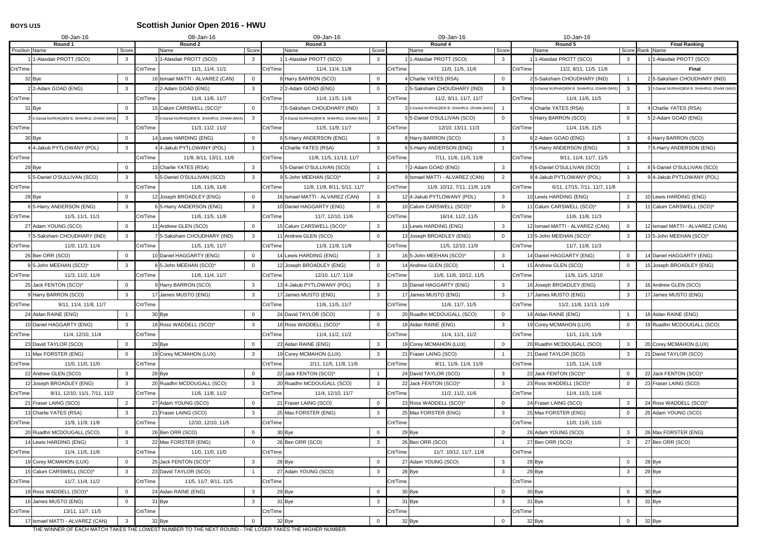### **BOYS U15 Scottish Junior Open 2016 - HWU**

|               | 08-Jan-16                                 |                | 08-Jan-16                                                     |          | 09-Jan-16                                        |          | 09-Jan-16                                   |                |          | 10-Jan-16                                   |                 |                                             |
|---------------|-------------------------------------------|----------------|---------------------------------------------------------------|----------|--------------------------------------------------|----------|---------------------------------------------|----------------|----------|---------------------------------------------|-----------------|---------------------------------------------|
|               | Round 1                                   |                | Round 2<br>Score                                              |          | Round 3<br>Score                                 |          | Round 4                                     | Score          |          | Round 5                                     | Score Rank Name | <b>Final Ranking</b>                        |
| Position Name | 1-Alasdair PROTT (SCO)                    | Score<br>3     | Name<br>1-Alasdair PROTT (SCO)<br>3                           |          | Name<br>1-Alasdair PROTT (SCO)<br>3              |          | Name<br>1-Alasdair PROTT (SCO)              | $\mathbf{3}$   |          | Name<br>11-Alasdair PROTT (SCO)             | -3              | 11-Alasdair PROTT (SCO)                     |
| Crt/Time      |                                           |                | Crt/Time<br>11/1, 11/4, 11/1                                  | Crt/Time | 11/4, 11/4, 11/8                                 | Crt/Time | 11/0, 11/5, 11/6                            |                | Crt/Time | 11/2, 8/11, 11/5, 11/6                      |                 | Final                                       |
|               | 32 Bye                                    | $\Omega$       | 16 Ismael MATTI - ALVAREZ (CAN)<br>$\overline{0}$             |          | 8 Harry BARRON (SCO)<br>$\mathbf 0$              |          | 4 Charlie YATES (RSA)                       | $\mathbf 0$    |          | 25--Saksham CHOUDHARY (IND)                 |                 | 25-Saksham CHOUDHARY (IND)                  |
|               | 22-Adam GOAD (ENG)                        | $\mathbf{3}$   | 2 2-Adam GOAD (ENG)<br>3                                      |          | 22-Adam GOAD (ENG)<br>$\Omega$                   |          | 2 5-Saksham CHOUDHARY (IND)                 | $\mathbf{3}$   |          | 3 3-Danial NURHAQIEM B. SHAHRUL IZHAM (MAS) | 3               | 3 3-Danial NURHAQIEM B. SHAHRUL IZHAM (MAS) |
| Crt/Time      |                                           |                | Crt/Time<br>11/4, 11/6, 11/7                                  | Crt/Time | 11/4, 11/5, 11/6                                 | Crt/Time | 11/2, 9/11, 11/7, 11/7                      |                | Crt/Time | 11/4, 11/6, 11/5                            |                 |                                             |
|               | 31 Bye                                    |                | 15 Calum CARSWELL (SCO)*<br>$\overline{0}$                    |          | 5-Saksham CHOUDHARY (IND)<br>$\mathbf{3}$        |          | 3 3-Danial NURHAQIEM B. SHAHRUL IZHAM (MAS) |                |          | 4 Charlie YATES (RSA)                       | $\mathbf{0}$    | 4 Charlie YATES (RSA)                       |
|               | 3-Danial NURHAQIEM B. SHAHRUL IZHAM (MAS) | $\mathbf{3}$   | 3 3-Danial NURHAQIEM B. SHAHRUL IZHAM (MAS)<br>3 <sup>3</sup> |          | 3 3-Danial NURHAQIEM B. SHAHRUL IZHAM (MAS)<br>3 |          | 5 5-Daniel O'SULLIVAN (SCO)                 | $\Omega$       |          | 5 Harry BARRON (SCO)                        | $\Omega$        | 5 2-Adam GOAD (ENG)                         |
| Crt/Time      |                                           |                | Crt/Time<br>11/3, 11/2, 11/2                                  | Crt/Time | 11/5, 11/9, 11/7                                 | Crt/Time | 12/10, 13/11, 11/3                          |                | Crt/Time | 11/4, 11/6, 11/5                            |                 |                                             |
|               | 30 Bye                                    | $\Omega$       | $\mathbf 0$<br>14 Lewis HARDING (ENG)                         |          | 65-Harry ANDERSON (ENG)<br>$\mathbf{0}$          |          | 8 Harry BARRON (SCO)                        | $\mathbf{3}$   |          | 6 2-Adam GOAD (ENG)                         | $\mathbf{3}$    | 6 Harry BARRON (SCO)                        |
|               | I 4-Jakub PYTLOWANY (POL)                 | 3              | 44-Jakub PYTLOWANY (POL)                                      |          | 4 Charlie YATES (RSA)<br>3                       |          | 6 5-Harry ANDERSON (ENG)                    |                |          | 7 5-Harry ANDERSON (ENG)                    | 3               | 7 5-Harry ANDERSON (ENG)                    |
| Crt/Time      |                                           |                | Crt/Time<br>11/8, 8/11, 13/11, 11/6                           | Crt/Time | 11/8, 11/5, 11/13, 11/7                          | Crt/Time | 7/11, 11/6, 11/5, 11/8                      |                | Crt/Time | 9/11, 11/4, 11/7, 11/5                      |                 |                                             |
|               | 29 Bye                                    | $\Omega$       | 13 Charlie YATES (RSA)<br>3                                   |          | 55-Daniel O'SULLIVAN (SCO)                       |          | 7 2-Adam GOAD (ENG)                         | $\mathbf{3}$   |          | 8 5-Daniel O'SULLIVAN (SCO)                 |                 | 85-Daniel O'SULLIVAN (SCO)                  |
|               | 55-Daniel O'SULLIVAN (SCO)                | $\mathbf{3}$   | 55-Daniel O'SULLIVAN (SCO)<br>$\mathbf{3}$                    |          | $\overline{2}$<br>95-John MEEHAN (SCO)*          |          | 9 Ismael MATTI - ALVAREZ (CAN)              | $\overline{2}$ |          | 94-Jakub PYTLOWANY (POL)                    | 3               | 94-Jakub PYTLOWANY (POL)                    |
| Crt/Time      |                                           |                | Crt/Time<br>11/6, 11/6, 11/6                                  | Crt/Time | 11/8, 11/8, 8/11, 5/11, 11/7                     | Crt/Time | 11/9, 10/12, 7/11, 11/8, 11/9               |                | Crt/Time | 6/11, 17/15, 7/11, 11/7, 11/8               |                 |                                             |
|               | 28 Bye                                    | $\mathbf{0}$   | 12 Joseph BROADLEY (ENG)<br>$\overline{0}$                    |          | 16 Ismael MATTI - ALVAREZ (CAN)<br>3             |          | 12 4-Jakub PYTLOWANY (POL)                  | $\mathbf{3}$   |          | 10 Lewis HARDING (ENG)                      | 2               | 10 Lewis HARDING (ENG)                      |
|               | 6 5-Harry ANDERSON (ENG)                  | $\mathbf{3}$   | 6 5-Harry ANDERSON (ENG)<br>$\mathbf{3}$                      |          | 10 Daniel HAGGARTY (ENG)<br>$\mathbf{0}$         |          | 10 Calum CARSWELL (SCO)*                    | $\overline{0}$ |          | 11 Calum CARSWELL (SCO)*                    | 3               | 11 Calum CARSWELL (SCO)*                    |
| Crt/Time      | 11/5, 11/1, 11/1                          |                | Crt/Time<br>11/6, 11/5, 11/8                                  | Crt/Time | 11/7, 12/10, 11/6                                | Crt/Time | 16/14, 11/2, 11/5                           |                | Crt/Time | 11/6, 11/8, 11/3                            |                 |                                             |
|               | 27 Adam YOUNG (SCO)                       | $\Omega$       | 11 Andrew GLEN (SCO)<br>$\overline{0}$                        |          | 15 Calum CARSWELL (SCO)*<br>$\mathbf{3}$         |          | 11 Lewis HARDING (ENG)                      | $\mathbf{3}$   |          | 12 Ismael MATTI - ALVAREZ (CAN)             | $\overline{0}$  | 12 Ismael MATTI - ALVAREZ (CAN)             |
|               | 75-Saksham CHOUDHARY (IND)                | $\mathbf{3}$   | 75-Saksham CHOUDHARY (IND)<br>$\mathbf{3}$                    |          | 11 Andrew GLEN (SCO)<br>$\Omega$                 |          | 13 Joseph BROADLEY (ENG)                    | $\Omega$       |          | 135-John MEEHAN (SCO)*                      | $\mathbf{3}$    | 135-John MEEHAN (SCO)*                      |
| Crt/Time      | 11/0, 11/3, 11/4                          |                | Crt/Time<br>11/5, 11/5, 11/7                                  | Crt/Time | 11/9, 11/9, 11/8                                 | Crt/Time | 11/5, 12/10, 11/9                           |                | Crt/Time | 11/7, 11/8, 11/3                            |                 |                                             |
|               | 26 Ben ORR (SCO)                          | $\Omega$       | 10 Daniel HAGGARTY (ENG)<br>$\overline{0}$                    |          | 14 Lewis HARDING (ENG)<br>$\mathbf{3}$           |          | 16 5-John MEEHAN (SCO)*                     | $\mathbf{3}$   |          | 14 Daniel HAGGARTY (ENG)                    | $\overline{0}$  | 14 Daniel HAGGARTY (ENG)                    |
|               | 85-John MEEHAN (SCO)*                     | 3              | 85-John MEEHAN (SCO)*<br>$\overline{0}$                       |          | 12 Joseph BROADLEY (ENG)<br>$\mathbf{0}$         |          | 14 Andrew GLEN (SCO)                        |                |          | 15 Andrew GLEN (SCO)                        | $\overline{0}$  | 15 Joseph BROADLEY (ENG)                    |
| Crt/Time      | 11/3, 11/2, 11/4                          |                | Crt/Time<br>11/6, 11/4, 11/7                                  | Crt/Time | 12/10, 11/7, 11/4                                | Crt/Time | 11/6, 11/6, 10/12, 11/5                     |                | Crt/Time | 11/9, 11/5, 12/10                           |                 |                                             |
|               | 25 Jack FENTON (SCO)*                     | $\Omega$       | 9 Harry BARRON (SCO)<br>3                                     |          | $\mathbf{3}$<br>134-Jakub PYTLOWANY (POL)        |          | 15 Daniel HAGGARTY (ENG)                    | $\mathbf{3}$   |          | 16 Joseph BROADLEY (ENG)                    | 3               | 16 Andrew GLEN (SCO)                        |
|               | 9 Harry BARRON (SCO)                      | 3              | 17 James MUSTO (ENG)<br>$\mathbf{3}$                          |          | 17 James MUSTO (ENG)<br>3                        |          | 17 James MUSTO (ENG)                        | $\mathbf{3}$   |          | 17 James MUSTO (ENG)                        | -3              | 17 James MUSTO (ENG)                        |
| Crt/Time      | 9/11, 11/4, 11/8, 11/7                    |                | Crt/Time                                                      | Crt/Time | 11/6, 11/5, 11/7                                 | Crt/Time | 11/6, 11/7, 11/5                            |                | Crt/Time | 11/2, 11/8, 11/13, 11/9                     |                 |                                             |
|               | 24 Aidan RAINE (ENG)                      |                | 30 Bye<br>$\Omega$                                            |          | 24 David TAYLOR (SCO)<br>$\mathbf{0}$            |          | 20 Ruadhri MCDOUGALL (SCO)                  | $\mathbf 0$    |          | 18 Aidan RAINE (ENG)                        |                 | 18 Aidan RAINE (ENG)                        |
|               | 10 Daniel HAGGARTY (ENG)                  | 3              | 18 Ross WADDELL (SCO)*<br>3                                   |          | 18 Ross WADDELL (SCO)*<br>$\mathbf 0$            |          | 18 Aidan RAINE (ENG)                        | $\mathbf{3}$   |          | 19 Corey MCMAHON (LUX)                      | $\overline{0}$  | 19 Ruadhri MCDOUGALL (SCO)                  |
| Crt/Time      | 11/4, 12/10, 11/4                         |                | Crt/Time                                                      | Crt/Time | 11/4, 11/2, 11/2                                 | Crt/Time | 11/4, 11/1, 11/2                            |                | Crt/Time | 11/1, 11/3, 11/9                            |                 |                                             |
|               | 23 David TAYLOR (SCO)                     | $\mathbf{0}$   | 29 Bye<br>$\mathbf 0$                                         |          | 23 Aidan RAINE (ENG)<br>$\mathbf{3}$             |          | 19 Corey MCMAHON (LUX)                      | $\mathbf 0$    |          | 20 Ruadhri MCDOUGALL (SCO)                  | $\mathbf{3}$    | 20 Corey MCMAHON (LUX)                      |
|               | 11 Max FORSTER (ENG)                      | $\Omega$       | 19 Corey MCMAHON (LUX)<br>$\mathbf{3}$                        |          | 19 Corey MCMAHON (LUX)<br>3                      |          | 21 Fraser LAING (SCO)                       | $\overline{1}$ |          | 21 David TAYLOR (SCO)                       | 3               | 21 David TAYLOR (SCO)                       |
| Crt/Time      | 11/0, 11/0, 11/0                          |                | Crt/Time                                                      | Crt/Time | 2/11, 11/5, 11/8, 11/6                           | Crt/Time | 8/11, 11/9, 11/4, 11/9                      |                | Crt/Time | 11/5, 11/4, 11/8                            |                 |                                             |
|               | 22 Andrew GLEN (SCO)                      | $\mathbf{3}$   | 28 Bye<br>$\mathbf 0$                                         |          | 22 Jack FENTON (SCO)*                            |          | 24 David TAYLOR (SCO)                       | $\mathbf{3}$   |          | 22 Jack FENTON (SCO)*                       | $\mathbf 0$     | 22 Jack FENTON (SCO)*                       |
|               | 12 Joseph BROADLEY (ENG)                  | 3              | 20 Ruadhri MCDOUGALL (SCO)<br>$\mathbf{3}$                    |          | 20 Ruadhri MCDOUGALL (SCO)<br>3                  |          | 22 Jack FENTON (SCO)*                       | $\mathbf{3}$   |          | 23 Ross WADDELL (SCO)*                      | - 0             | 23 Fraser LAING (SCO)                       |
| Crt/Time      | 8/11, 12/10, 11/1, 7/11, 11/2             |                | Crt/Time<br>11/6, 11/8, 11/2                                  | Crt/Time | 11/4, 12/10, 11/7                                | Crt/Time | 11/2, 11/2, 11/6                            |                | Crt/Time | 11/4, 11/3, 11/6                            |                 |                                             |
|               | 21 Fraser LAING (SCO)                     | $\overline{2}$ | $\mathbf 0$<br>27 Adam YOUNG (SCO)                            |          | 21 Fraser LAING (SCO)<br>$\mathbf 0$             |          | 23 Ross WADDELL (SCO)*                      | $\mathbf{0}$   |          | 24 Fraser LAING (SCO)                       | $\mathbf{3}$    | 24 Ross WADDELL (SCO)*                      |
|               | 13 Charlie YATES (RSA)                    | $\mathbf{3}$   | 21 Fraser LAING (SCO)<br>$\mathbf{3}$                         |          | 25 Max FORSTER (ENG)<br>$\mathbf{3}$             |          | 25 Max FORSTER (ENG)                        | $\mathbf{3}$   |          | 25 Max FORSTER (ENG)                        | $\overline{0}$  | 25 Adam YOUNG (SCO)                         |
| Crt/Time      | 11/9, 11/9, 11/8                          |                | Crt/Time<br>12/10, 12/10, 11/5                                | Crt/Time |                                                  | Crt/Time |                                             |                | Crt/Time | 11/0, 11/0, 11/0                            |                 |                                             |
|               | 20 Ruadhri MCDOUGALL (SCO)                | $\overline{0}$ | $\overline{0}$<br>26 Ben ORR (SCO)                            |          | 30 Bye<br>$\mathbf 0$                            |          | 29 Bye                                      | $\overline{0}$ |          | 26 Adam YOUNG (SCO)                         | $\mathbf{3}$    | 26 Max FORSTER (ENG)                        |
|               | 14 Lewis HARDING (ENG)                    | 3 <sup>1</sup> | 22 Max FORSTER (ENG)<br>$\mathbf{0}$                          |          | 26 Ben ORR (SCO)<br>$\mathbf{3}$                 |          | 26 Ben ORR (SCO)                            |                |          | 27 Ben ORR (SCO)                            | 3               | 27 Ben ORR (SCO)                            |
| Crt/Time      | 11/4, 11/5, 11/6                          |                | Crt/Time<br>11/0, 11/0, 11/0                                  | Crt/Time |                                                  | Crt/Time | 11/7, 10/12, 11/7, 11/8                     |                | Crt/Time |                                             |                 |                                             |
|               | 19 Corey MCMAHON (LUX)                    | $\mathbf{0}$   | 25 Jack FENTON (SCO)*<br>$\mathbf{3}$                         |          | 28 Bye<br>$\mathbf 0$                            |          | 27 Adam YOUNG (SCO)                         | $\mathbf{3}$   |          | 28 Bye                                      | $\overline{0}$  | 28 Bye                                      |
|               | 15 Calum CARSWELL (SCO)*                  | $\mathbf{3}$   | 23 David TAYLOR (SCO)                                         |          | 27 Adam YOUNG (SCO)<br>3                         |          | 28 Bye                                      | $\mathbf{3}$   |          | 29 Bye                                      | $\overline{3}$  | 29 Bye                                      |
| Crt/Time      | 11/7, 11/4, 11/2                          |                | Crt/Time<br>11/5, 11/7, 9/11, 11/5                            | Crt/Time |                                                  | Crt/Time |                                             |                | Crt/Time |                                             |                 |                                             |
|               | 18 Ross WADDELL (SCO)*                    | $\mathbf 0$    | $\mathbf{3}$<br>24 Aidan RAINE (ENG)                          |          | 29 Bye<br>$\mathbf 0$                            |          | 30 Bye                                      | $\mathbf 0$    |          | 30 Bye                                      | $\mathbf 0$     | 30 Bye                                      |
|               | 16 James MUSTO (ENG)                      | $\Omega$       | 31 Bye<br>$\mathbf{3}$                                        |          | 31 Bye<br>3                                      |          | 31 Bye                                      | $\mathbf{3}$   |          | 31 Bye                                      | $\overline{3}$  | 31 Bye                                      |
| Crt/Time      | 13/11, 11/7, 11/5                         |                | Crt/Time                                                      | Crt/Time |                                                  | Crt/Time |                                             |                | Crt/Time |                                             |                 |                                             |
|               | 17 Ismael MATTI - ALVAREZ (CAN)           | $\mathbf{3}$   | 32 Bye<br>$\Omega$                                            |          | 32 Bye<br>$\Omega$                               |          | 32 Bye                                      | $\Omega$       |          | 32 Bye                                      | $\overline{0}$  | 32 Bye                                      |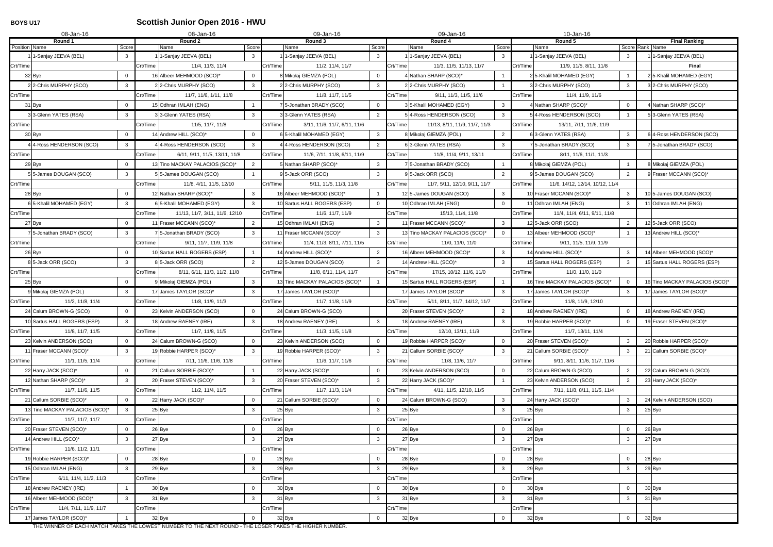# **BOYS U17 Scottish Junior Open 2016 - HWU**

|               | 08-Jan-16                      |                | 08-Jan-16                                        | 09-Jan-16                                   |          | 09-Jan-16                     |                |          | 10-Jan-16                       |                |                                         |
|---------------|--------------------------------|----------------|--------------------------------------------------|---------------------------------------------|----------|-------------------------------|----------------|----------|---------------------------------|----------------|-----------------------------------------|
| Position Name | Round 1                        | Score          | Round 2<br>Score<br>Name                         | Round 3<br>Score<br>Name                    |          | Round 4<br>Name               | Score          |          | Round 5<br>Name                 |                | <b>Final Ranking</b><br>Score Rank Name |
|               | 1-Sanjay JEEVA (BEL)           | 3              | 1-Sanjay JEEVA (BEL)<br>3                        | 1-Sanjay JEEVA (BEL)<br>3                   |          | 1-Sanjay JEEVA (BEL)          | $\mathbf{3}$   |          | 1-Sanjay JEEVA (BEL)            | 3              | 1-Sanjay JEEVA (BEL)                    |
| Crt/Time      |                                |                | Crt/Time<br>11/4, 11/3, 11/4                     | Crt/Time<br>11/2, 11/4, 11/7                | Crt/Time | 11/3, 11/5, 11/13, 11/7       |                | Crt/Time | 11/9, 11/5, 8/11, 11/8          |                | <b>Final</b>                            |
|               | 32 Bye                         | $\Omega$       | 16 Albeer MEHMOOD (SCO)*<br>$\mathbf 0$          | 8 Mikołaj GIEMZA (POL)<br>$\Omega$          |          | 4 Nathan SHARP (SCO)*         |                |          | 2 5-Khalil MOHAMED (EGY)        |                | 5-Khalil MOHAMED (EGY)                  |
|               | 2 2-Chris MURPHY (SCO)         | $\mathbf{3}$   | 22-Chris MURPHY (SCO)<br>$\mathbf{3}$            | 22-Chris MURPHY (SCO)<br>3                  |          | 22-Chris MURPHY (SCO)         |                |          | 3 2-Chris MURPHY (SCO)          | $\mathbf{3}$   | 3 2-Chris MURPHY (SCO)                  |
| Crt/Time      |                                |                | Crt/Time<br>11/7, 11/6, 1/11, 11/8               | Crt/Time<br>11/8, 11/7, 11/5                | Crt/Time | 9/11, 11/3, 11/5, 11/6        |                | Crt/Time | 11/4, 11/9, 11/6                |                |                                         |
|               | 31 Bye                         |                | 15 Odhran IMLAH (ENG)                            | 5-Jonathan BRADY (SCO)<br>$\Omega$          |          | 3 5-Khalil MOHAMED (EGY)      | $\mathbf{3}$   |          | 4 Nathan SHARP (SCO)*           | $\overline{0}$ | Nathan SHARP (SCO)*                     |
|               | 3 3-Glenn YATES (RSA)          | 3              | 3 3-Glenn YATES (RSA)<br>3                       | 33-Glenn YATES (RSA)<br>$\overline{2}$      |          | 54-Ross HENDERSON (SCO)       | $\mathbf{3}$   |          | 54-Ross HENDERSON (SCO)         |                | 53-Glenn YATES (RSA)                    |
| Crt/Time      |                                |                | Crt/Time<br>11/5, 11/7, 11/8                     | Crt/Time<br>3/11, 11/6, 11/7, 6/11, 11/6    | Crt/Time | 11/13, 8/11, 11/9, 11/7, 11/3 |                | Crt/Time | 13/11, 7/11, 11/6, 11/9         |                |                                         |
|               | 30 Bye                         | $\Omega$       | 14 Andrew HILL (SCO)*<br>$\overline{0}$          | 6 5-Khalil MOHAMED (EGY)<br>3               |          | 8 Mikołaj GIEMZA (POL)        | $\overline{2}$ |          | 6 3-Glenn YATES (RSA)           | $\mathbf{3}$   | 4-Ross HENDERSON (SCO)                  |
|               | 4 4-Ross HENDERSON (SCO)       | 3              | 44-Ross HENDERSON (SCO)<br>$\mathbf{3}$          | 4 4-Ross HENDERSON (SCO)<br>2               |          | 6 3-Glenn YATES (RSA)         | $\mathbf{3}$   |          | 7 5-Jonathan BRADY (SCO)        | 3              | 7 5-Jonathan BRADY (SCO)                |
| Crt/Time      |                                |                | Crt/Time<br>6/11, 9/11, 11/5, 13/11, 11/8        | Crt/Time<br>11/6, 7/11, 11/8, 6/11, 11/9    | Crt/Time | 11/8, 11/4, 9/11, 13/11       |                | Crt/Time | 8/11, 11/6, 11/1, 11/3          |                |                                         |
|               | 29 Bye                         | $\Omega$       | 13 Tino MACKAY PALACIOS (SCO)*<br>$\overline{2}$ | 5 Nathan SHARP (SCO)*<br>3                  |          | 7 5-Jonathan BRADY (SCO)      |                |          | 8 Mikołaj GIEMZA (POL)          |                | 8 Mikołaj GIEMZA (POL)                  |
|               | 55-James DOUGAN (SCO)          | $\mathbf{3}$   | 55-James DOUGAN (SCO)                            | 95-Jack ORR (SCO)<br>3                      |          | 95-Jack ORR (SCO)             | $\overline{2}$ |          | 95-James DOUGAN (SCO)           | $\overline{2}$ | 9 Fraser MCCANN (SCO)*                  |
| Crt/Time      |                                |                | Crt/Time<br>11/8, 4/11, 11/5, 12/10              | Crt/Time<br>5/11, 11/5, 11/3, 11/8          | Crt/Time | 11/7, 5/11, 12/10, 9/11, 11/7 |                | Crt/Time | 11/6, 14/12, 12/14, 10/12, 11/4 |                |                                         |
|               | 28 Bye                         | $\mathbf{0}$   | 12 Nathan SHARP (SCO)*<br>$\mathbf{3}$           | 16 Albeer MEHMOOD (SCO)*                    |          | 125-James DOUGAN (SCO)        | $\mathbf{3}$   |          | 10 Fraser MCCANN (SCO)*         | $\mathbf{3}$   | 10 5-James DOUGAN (SCO)                 |
|               | 6 5-Khalil MOHAMED (EGY)       | $\mathbf{3}$   | 6 5-Khalil MOHAMED (EGY)<br>$\mathbf{3}$         | 10 Sartus HALL ROGERS (ESP)<br>$\mathbf{0}$ |          | 10 Odhran IMLAH (ENG)         | $\overline{0}$ |          | 11 Odhran IMLAH (ENG)           | 3              | 11 Odhran IMLAH (ENG)                   |
| Crt/Time      |                                |                | Crt/Time<br>11/13, 11/7, 3/11, 11/6, 12/10       | Crt/Time<br>11/6, 11/7, 11/9                | Crt/Time | 15/13, 11/4, 11/8             |                | Crt/Time | 11/4, 11/4, 6/11, 9/11, 11/8    |                |                                         |
|               | 27 Bye                         | $\Omega$       | $\overline{2}$<br>11 Fraser MCCANN (SCO)*        | 15 Odhran IMLAH (ENG)<br>3                  |          | 11 Fraser MCCANN (SCO)*       | $\mathbf{3}$   |          | 125-Jack ORR (SCO)              | $\overline{2}$ | 12 5-Jack ORR (SCO)                     |
|               | 75-Jonathan BRADY (SCO)        | $\mathbf{3}$   | 75-Jonathan BRADY (SCO)<br>$\mathbf{3}$          | 11 Fraser MCCANN (SCO)*<br>3                |          | 13 Tino MACKAY PALACIOS (SCO) | $\overline{0}$ |          | 13 Albeer MEHMOOD (SCO)*        |                | 13 Andrew HILL (SCO)*                   |
| Crt/Time      |                                |                | Crt/Time<br>9/11, 11/7, 11/9, 11/8               | Crt/Time<br>11/4, 11/3, 8/11, 7/11, 11/5    | Crt/Time | 11/0, 11/0, 11/0              |                | Crt/Time | 9/11, 11/5, 11/9, 11/9          |                |                                         |
|               | 26 Bye                         | $\mathbf{0}$   | 10 Sartus HALL ROGERS (ESP)                      | $\overline{2}$<br>14 Andrew HILL (SCO)*     |          | 16 Albeer MEHMOOD (SCO)*      | $\mathbf{3}$   |          | 14 Andrew HILL (SCO)*           | $\mathbf{3}$   | 14 Albeer MEHMOOD (SCO)*                |
|               | 8 5-Jack ORR (SCO)             | 3              | 8 5-Jack ORR (SCO)<br>$\overline{2}$             | 12 5-James DOUGAN (SCO)<br>3                |          | 14 Andrew HILL (SCO)*         | $\mathbf{3}$   |          | 15 Sartus HALL ROGERS (ESP)     | 3              | 15 Sartus HALL ROGERS (ESP)             |
| Crt/Time      |                                |                | Crt/Time<br>8/11, 6/11, 11/3, 11/2, 11/8         | Crt/Time<br>11/8, 6/11, 11/4, 11/7          | Crt/Time | 17/15, 10/12, 11/6, 11/0      |                | Crt/Time | 11/0, 11/0, 11/0                |                |                                         |
|               | 25 Bye                         | $\Omega$       | 9 Mikołaj GIEMZA (POL)<br>3                      | 13 Tino MACKAY PALACIOS (SCO)*              |          | 15 Sartus HALL ROGERS (ESP)   |                |          | 16 Tino MACKAY PALACIOS (SCO)*  | $\overline{0}$ | 16 Tino MACKAY PALACIOS (SCO)*          |
|               | 9 Mikołaj GIEMZA (POL)         | $\mathbf{3}$   | 17 James TAYLOR (SCO)*<br>$\mathbf{3}$           | 17 James TAYLOR (SCO)*                      |          | 17 James TAYLOR (SCO)*        | $\mathbf{3}$   |          | 17 James TAYLOR (SCO)*          | 3              | 17 James TAYLOR (SCO)*                  |
| Crt/Time      | 11/2, 11/8, 11/4               |                | Crt/Time<br>11/8, 11/9, 11/3                     | Crt/Time<br>11/7, 11/8, 11/9                | Crt/Time | 5/11, 8/11, 11/7, 14/12, 11/7 |                | Crt/Time | 11/8, 11/9, 12/10               |                |                                         |
|               | 24 Calum BROWN-G (SCO)         |                | 23 Kelvin ANDERSON (SCO)<br>$\mathbf 0$          | 24 Calum BROWN-G (SCO)                      |          | 20 Fraser STEVEN (SCO)*       | $\overline{2}$ |          | 18 Andrew RAENEY (IRE)          | $\overline{0}$ | 18 Andrew RAENEY (IRE)                  |
|               | 10 Sartus HALL ROGERS (ESP)    | $\mathbf{3}$   | 18 Andrew RAENEY (IRE)<br>3 <sup>1</sup>         | 18 Andrew RAENEY (IRE)<br>3                 |          | 18 Andrew RAENEY (IRE)        | $\mathbf{3}$   |          | 19 Robbie HARPER (SCO)*         | $\overline{0}$ | 19 Fraser STEVEN (SCO)*                 |
| Crt/Time      | 11/8, 11/7, 11/5               |                | Crt/Time<br>11/7, 11/8, 11/5                     | Crt/Time<br>11/3, 11/5, 11/8                | Crt/Time | 12/10, 13/11, 11/9            |                | Crt/Time | 11/7, 13/11, 11/4               |                |                                         |
|               | 23 Kelvin ANDERSON (SCO)       | $\mathbf{0}$   | 24 Calum BROWN-G (SCO)<br>$\overline{0}$         | 23 Kelvin ANDERSON (SCO)<br>$\overline{0}$  |          | 19 Robbie HARPER (SCO)*       | $\overline{0}$ |          | 20 Fraser STEVEN (SCO)*         | $\mathbf{3}$   | 20 Robbie HARPER (SCO)*                 |
|               | 11 Fraser MCCANN (SCO)*        | 3              | 19 Robbie HARPER (SCO)*<br>3 <sup>1</sup>        | 19 Robbie HARPER (SCO)*<br>3                |          | 21 Callum SORBIE (SCO)*       | $\mathbf{3}$   |          | 21 Callum SORBIE (SCO)*         | $\mathbf{3}$   | 21 Callum SORBIE (SCO)*                 |
| Crt/Time      | 11/1, 11/5, 11/4               |                | Crt/Time<br>7/11, 11/6, 11/6, 11/8               | Crt/Time<br>11/6, 11/7, 11/6                | Crt/Time | 11/8, 11/6, 11/7              |                | Crt/Time | 9/11, 8/11, 11/6, 11/7, 11/6    |                |                                         |
|               | 22 Harry JACK (SCO)*           | $\mathbf{0}$   | 21 Callum SORBIE (SCO)*                          | 22 Harry JACK (SCO)*<br>$\overline{0}$      |          | 23 Kelvin ANDERSON (SCO)      | $\overline{0}$ |          | 22 Calum BROWN-G (SCO)          | $\overline{2}$ | 22 Calum BROWN-G (SCO)                  |
|               | 12 Nathan SHARP (SCO)*         | 3              | 20 Fraser STEVEN (SCO)*<br>$\mathbf{3}$          | 20 Fraser STEVEN (SCO)*<br>3                |          | 22 Harry JACK (SCO)*          |                |          | 23 Kelvin ANDERSON (SCO)        | 2              | 23 Harry JACK (SCO)*                    |
| Crt/Time      | 11/7, 11/6, 11/5               |                | Crt/Time<br>11/2, 11/4, 11/5                     | Crt/Time<br>11/7, 11/3, 11/4                | Crt/Time | 4/11, 11/5, 12/10, 11/5       |                | Crt/Time | 7/11, 11/8, 8/11, 11/5, 11/4    |                |                                         |
|               | 21 Callum SORBIE (SCO)*        | $\overline{0}$ | $\overline{0}$<br>22 Harry JACK (SCO)*           | 21 Callum SORBIE (SCO)*<br>$\mathbf 0$      |          | 24 Calum BROWN-G (SCO)        | $\mathbf{3}$   |          | 24 Harry JACK (SCO)*            | $\mathbf{3}$   | 24 Kelvin ANDERSON (SCO)                |
|               | 13 Tino MACKAY PALACIOS (SCO)* | $\mathbf{3}$   | 25 Bye<br>$\mathbf{3}$                           | 25 Bye<br>$\mathbf{3}$                      |          | $25$ Bye                      | $\mathbf{3}$   |          | 25 Bye                          | $\mathbf{3}$   | 25 Bye                                  |
| Crt/Time      | 11/7, 11/7, 11/7               |                | Crt/Time                                         | Crt/Time                                    | Crt/Time |                               |                | Crt/Time |                                 |                |                                         |
|               | 20 Fraser STEVEN (SCO)*        | $\Omega$       | 26 Bye<br>$\mathbf 0$                            | 26 Bye<br>$\mathbf{0}$                      |          | 26 Bye                        | $\overline{0}$ |          | 26 Bye                          | $\mathbf 0$    | 26 Bye                                  |
|               | 14 Andrew HILL (SCO)*          | $\mathbf{3}$   | 27 Bye<br>$\mathbf{3}$                           | 27 Bye<br>$\mathbf{3}$                      |          | 27 Bye                        | $\mathbf{3}$   |          | 27 Bye                          | $\mathbf{3}$   | 27 Bye                                  |
| Crt/Time      | 11/6, 11/2, 11/1               |                | Crt/Time                                         | Crt/Time                                    | Crt/Time |                               |                | Crt/Time |                                 |                |                                         |
|               | 19 Robbie HARPER (SCO)*        | $\Omega$       | 28 Bye<br>$\mathbf 0$                            | 28 Bye<br>$\overline{0}$                    |          | 28 Bye                        | $\overline{0}$ |          | 28 Bye                          | $\mathbf 0$    | 28 Bye                                  |
|               | 15 Odhran IMLAH (ENG)          | $\mathbf{3}$   | 29 Bye<br>$\mathbf{3}$                           | 29 Bye<br>3                                 |          | 29 Bye                        | $\mathbf{3}$   |          | 29 Bye                          | $\mathbf{3}$   | 29 Bye                                  |
| Crt/Time      | 6/11, 11/4, 11/2, 11/3         |                | Crt/Time                                         | Crt/Time                                    | Crt/Time |                               |                | Crt/Time |                                 |                |                                         |
|               | 18 Andrew RAENEY (IRE)         |                | 30 Bye<br>$\mathbf 0$                            | 30 Bye<br>$\mathbf 0$                       |          | 30 Bye                        | $\mathbf 0$    |          | 30 Bye                          | $\mathbf 0$    | 30 Bye                                  |
|               | 16 Albeer MEHMOOD (SCO)*       | 3              | 31 Bye<br>$\mathbf{3}$                           | 31 Bye<br>3                                 |          | 31 Bye                        | $\mathbf{3}$   |          | 31 Bye                          | $\mathbf{3}$   | 31 Bye                                  |
| Crt/Time      | 11/4, 7/11, 11/9, 11/7         |                | Crt/Time                                         | Crt/Time                                    | Crt/Time |                               |                | Crt/Time |                                 |                |                                         |
|               | 17 James TAYLOR (SCO)*         |                | 32 Bye<br>$\overline{0}$                         | 32 Bye<br>$\Omega$                          |          | 32 Bye                        | $\mathbf 0$    |          | 32 Bye                          | $\mathbf 0$    | 32 Bye                                  |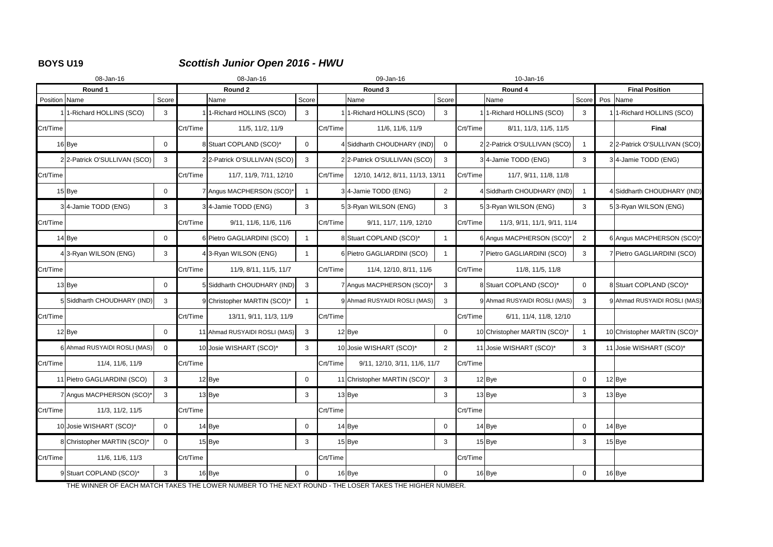# **BOYS U19** *Scottish Junior Open 2016 - HWU*

|               | 08-Jan-16                    |                |          | 08-Jan-16                             |                |          | 09-Jan-16                        |                |          | 10-Jan-16                    |                |                       |                              |  |
|---------------|------------------------------|----------------|----------|---------------------------------------|----------------|----------|----------------------------------|----------------|----------|------------------------------|----------------|-----------------------|------------------------------|--|
|               | Round 1                      |                |          | Round 2                               |                |          | Round 3                          |                |          | Round 4                      |                | <b>Final Position</b> |                              |  |
| Position Name |                              | Score          |          | Name                                  | Score          |          | Name                             | Score          |          | Name                         | Score Pos Name |                       |                              |  |
|               | 11-Richard HOLLINS (SCO)     | 3              |          | 1 <sup>1</sup> -Richard HOLLINS (SCO) | 3              |          | 11-Richard HOLLINS (SCO)         | 3              |          | 11-Richard HOLLINS (SCO)     | 3              |                       | 1-Richard HOLLINS (SCO)      |  |
| Crt/Time      |                              |                | Crt/Time | 11/5, 11/2, 11/9                      |                | Crt/Time | 11/6, 11/6, 11/9                 |                | Crt/Time | 8/11, 11/3, 11/5, 11/5       |                |                       | <b>Final</b>                 |  |
|               | $16$ Bye                     | $\mathbf 0$    |          | 8 Stuart COPLAND (SCO)*               | $\overline{0}$ |          | 4 Siddharth CHOUDHARY (IND)      | $\overline{0}$ |          | 22-Patrick O'SULLIVAN (SCO)  |                |                       | 22-Patrick O'SULLIVAN (SCO)  |  |
|               | 22-Patrick O'SULLIVAN (SCO)  | 3              |          | 2 2-Patrick O'SULLIVAN (SCO)          | 3              |          | 22-Patrick O'SULLIVAN (SCO)      | $\mathbf{3}$   |          | 34-Jamie TODD (ENG)          | 3              |                       | 34-Jamie TODD (ENG)          |  |
| Crt/Time      |                              |                | Crt/Time | 11/7, 11/9, 7/11, 12/10               |                | Crt/Time | 12/10, 14/12, 8/11, 11/13, 13/11 |                | Crt/Time | 11/7, 9/11, 11/8, 11/8       |                |                       |                              |  |
|               | $15$ Bye                     | $\mathbf 0$    |          | 7 Angus MACPHERSON (SCO)*             | $\overline{1}$ |          | 3 <sup>4</sup> -Jamie TODD (ENG) | $\overline{2}$ |          | 4 Siddharth CHOUDHARY (IND)  |                |                       | 4 Siddharth CHOUDHARY (IND)  |  |
|               | 34-Jamie TODD (ENG)          | 3              |          | 34-Jamie TODD (ENG)                   | $\mathbf{3}$   |          | 53-Ryan WILSON (ENG)             | 3              |          | 53-Ryan WILSON (ENG)         | 3              |                       | 53-Ryan WILSON (ENG)         |  |
| Crt/Time      |                              |                | Crt/Time | 9/11, 11/6, 11/6, 11/6                |                | Crt/Time | 9/11, 11/7, 11/9, 12/10          |                | Crt/Time | 11/3, 9/11, 11/1, 9/11, 11/4 |                |                       |                              |  |
|               | $14$ Bye                     | 0              |          | 6 Pietro GAGLIARDINI (SCO)            | $\mathbf 1$    |          | 8 Stuart COPLAND (SCO)*          |                |          | 6 Angus MACPHERSON (SCO)*    | $\overline{2}$ |                       | 6 Angus MACPHERSON (SCO)*    |  |
|               | 43-Ryan WILSON (ENG)         | 3              |          | 43-Ryan WILSON (ENG)                  |                |          | 6 Pietro GAGLIARDINI (SCO)       |                |          | 7 Pietro GAGLIARDINI (SCO)   | 3              |                       | 7 Pietro GAGLIARDINI (SCO)   |  |
| Crt/Time      |                              |                | Crt/Time | 11/9, 8/11, 11/5, 11/7                |                | Crt/Time | 11/4, 12/10, 8/11, 11/6          |                | Crt/Time | 11/8, 11/5, 11/8             |                |                       |                              |  |
|               | $13$ Bye                     | 0              |          | 5 Siddharth CHOUDHARY (IND)           | $\mathbf{3}$   |          | 7 Angus MACPHERSON (SCO)*        | 3              |          | 8 Stuart COPLAND (SCO)*      | $\overline{0}$ |                       | 8 Stuart COPLAND (SCO)*      |  |
|               | 5 Siddharth CHOUDHARY (IND)  | 3              |          | 9 Christopher MARTIN (SCO)*           |                |          | 9 Ahmad RUSYAIDI ROSLI (MAS)     | 3              |          | 9 Ahmad RUSYAIDI ROSLI (MAS) | 3              |                       | 9 Ahmad RUSYAIDI ROSLI (MAS) |  |
| Crt/Time      |                              |                | Crt/Time | 13/11, 9/11, 11/3, 11/9               |                | Crt/Time |                                  |                | Crt/Time | 6/11, 11/4, 11/8, 12/10      |                |                       |                              |  |
|               | $12$ Bye                     | $\mathbf 0$    |          | 11 Ahmad RUSYAIDI ROSLI (MAS)         | $\mathbf{3}$   |          | $12$ Bye                         | $\overline{0}$ |          | 10 Christopher MARTIN (SCO)* |                |                       | 10 Christopher MARTIN (SCO)* |  |
|               | 6 Ahmad RUSYAIDI ROSLI (MAS) | $\mathbf 0$    |          | 10 Josie WISHART (SCO)*               | 3              |          | 10 Josie WISHART (SCO)*          | $\overline{2}$ |          | 11 Josie WISHART (SCO)*      | 3              |                       | 11 Josie WISHART (SCO)*      |  |
| Crt/Time      | 11/4, 11/6, 11/9             |                | Crt/Time |                                       |                | Crt/Time | 9/11, 12/10, 3/11, 11/6, 11/7    |                | Crt/Time |                              |                |                       |                              |  |
|               | 11 Pietro GAGLIARDINI (SCO)  | 3              |          | $12$ Bye                              | $\overline{0}$ |          | 11 Christopher MARTIN (SCO)*     | 3 <sup>1</sup> |          | $12$ Bye                     | $\overline{0}$ |                       | 12 Bye                       |  |
|               | 7 Angus MACPHERSON (SCO)     | 3              |          | $13$ Bye                              | 3              |          | $13$ Bye                         | 3 <sup>1</sup> |          | $13$ Bye                     | 3              |                       | 13 Bye                       |  |
| Crt/Time      | 11/3, 11/2, 11/5             |                | Crt/Time |                                       |                | Crt/Time |                                  |                | Crt/Time |                              |                |                       |                              |  |
|               | 10 Josie WISHART (SCO)*      | $\mathbf 0$    |          | $14$ Bye                              | 0              |          | $14$ Bye                         | $\mathbf{0}$   |          | $14$ Bye                     | $\mathbf 0$    |                       | $14$ Bye                     |  |
|               | 8 Christopher MARTIN (SCO)*  | $\overline{0}$ |          | $15$ Bye                              | 3              |          | $15$ Bye                         | $\mathbf{3}$   |          | $15$ Bye                     | $\mathbf{3}$   |                       | $15$ Bye                     |  |
| Crt/Time      | 11/6, 11/6, 11/3             |                | Crt/Time |                                       |                | Crt/Time |                                  |                | Crt/Time |                              |                |                       |                              |  |
|               | 9 Stuart COPLAND (SCO)*      | $\mathbf{3}$   |          | $16$ Bye                              | 0              |          | $16$ Bye                         | $\overline{0}$ |          | $16$ Bye                     | $\overline{0}$ |                       | 16 Bye                       |  |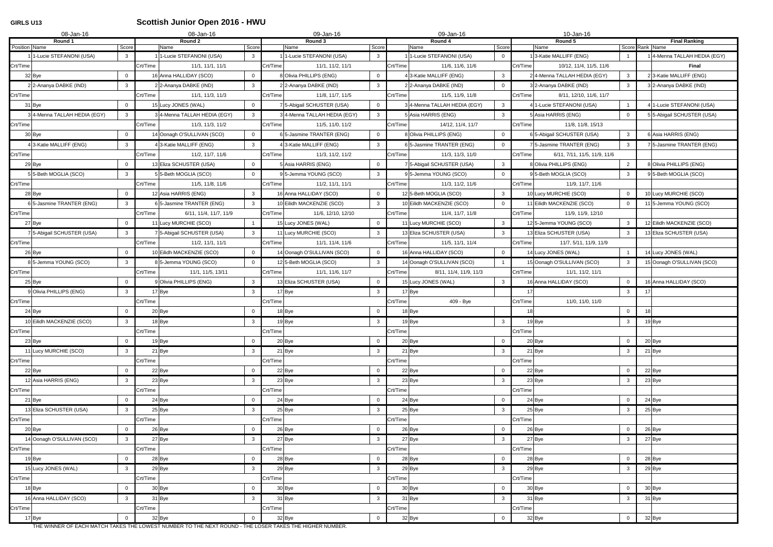# **GIRLS U13 Scottish Junior Open 2016 - HWU**

|               | 08-Jan-16                      |                | 08-Jan-16                          |                               | 09-Jan-16                                  |          | 09-Jan-16                                          |          | 10-Jan-16                    |                |                                         |
|---------------|--------------------------------|----------------|------------------------------------|-------------------------------|--------------------------------------------|----------|----------------------------------------------------|----------|------------------------------|----------------|-----------------------------------------|
| Position Name | Round 1                        | Score          | Round 2<br>Name                    | Score                         | Round 3<br>Name<br>Score                   |          | Round 4<br>Score<br>Name                           |          | Round 5<br>Name              |                | <b>Final Ranking</b><br>Score Rank Name |
|               | 1-Lucie STEFANONI (USA)        | 3              | 1 1-Lucie STEFANONI (USA)          | $\mathbf{3}$                  | 1-Lucie STEFANONI (USA)<br>3               |          | 1 1-Lucie STEFANONI (USA)<br>$\overline{0}$        |          | 3-Katie MALLIFF (ENG)        |                | 1 4-Menna TALLAH HEDIA (EGY)            |
| Crt/Time      |                                |                | Crt/Time<br>11/1, 11/1, 11/1       |                               | Crt/Time<br>11/1, 11/2, 11/1               | Crt/Time | 11/6, 11/6, 11/6                                   | Crt/Time | 10/12, 11/4, 11/5, 11/6      |                | <b>Final</b>                            |
|               | 32 Bye                         | $\Omega$       | 16 Anna HALLIDAY (SCO)             | $\mathbf 0$                   | Olivia PHILLIPS (ENG)<br>$\Omega$          |          | 4 3-Katie MALLIFF (ENG)<br>$\mathbf{3}$            |          | 24-Menna TALLAH HEDIA (EGY)  | $\mathbf{3}$   | 23-Katie MALLIFF (ENG)                  |
|               | 22-Ananya DABKE (IND)          | $\mathbf{3}$   | 2 2-Ananya DABKE (IND)             | 3                             | 22-Ananya DABKE (IND)<br>3                 |          | 2 2-Ananya DABKE (IND)<br>$\Omega$                 |          | 3 2-Ananya DABKE (IND)       | $\mathbf{3}$   | 3 2-Ananya DABKE (IND)                  |
| Crt/Time      |                                |                | Crt/Time<br>11/1, 11/3, 11/3       |                               | Crt/Time<br>11/8, 11/7, 11/5               | Crt/Time | 11/5, 11/9, 11/8                                   | Crt/Time | 8/11, 12/10, 11/6, 11/7      |                |                                         |
|               | 31 Bye                         | $\Omega$       | 15 Lucy JONES (WAL)                | $\overline{0}$                | 5-Abigail SCHUSTER (USA)<br>$\overline{0}$ |          | 34-Menna TALLAH HEDIA (EGY)<br>$\mathbf{3}$        |          | 4 1-Lucie STEFANONI (USA)    |                | 1-Lucie STEFANONI (USA)                 |
|               | 34-Menna TALLAH HEDIA (EGY)    | $\mathbf{3}$   | 34-Menna TALLAH HEDIA (EGY)        | 3                             | 34-Menna TALLAH HEDIA (EGY)<br>3           |          | 5 Asia HARRIS (ENG)<br>$\mathbf{3}$                |          | 5 Asia HARRIS (ENG)          | $\Omega$       | 5 5-Abigail SCHUSTER (USA)              |
| Crt/Time      |                                |                | Crt/Time<br>11/3, 11/3, 11/2       |                               | Crt/Time<br>11/5, 11/0, 11/2               | Crt/Time | 14/12, 11/4, 11/7                                  | Crt/Time | 11/8, 11/8, 15/13            |                |                                         |
|               | 30 Bye                         |                | 14 Oonagh O'SULLIVAN (SCO)         | $\mathbf 0$                   | 5-Jasmine TRANTER (ENG)<br>$\Omega$        |          | 8 Olivia PHILLIPS (ENG)<br>$\overline{0}$          |          | 6 5-Abigail SCHUSTER (USA)   | $\mathbf{3}$   | Asia HARRIS (ENG)                       |
|               | 13-Katie MALLIFF (ENG)         | 3              | 4 3-Katie MALLIFF (ENG)            | $\mathbf{3}$                  | 43-Katie MALLIFF (ENG)<br>3                |          | 6 5-Jasmine TRANTER (ENG)<br>$\overline{0}$        |          | 7 5-Jasmine TRANTER (ENG)    | 3              | 7 5-Jasmine TRANTER (ENG)               |
| Crt/Time      |                                |                | Crt/Time<br>11/2, 11/7, 11/6       |                               | Crt/Time<br>11/3, 11/2, 11/2               | Crt/Time | 11/3, 11/3, 11/0                                   | Crt/Time | 6/11, 7/11, 11/5, 11/9, 11/6 |                |                                         |
|               | 29 Bye                         |                | 13 Eliza SCHUSTER (USA)            | $\Omega$                      | Asia HARRIS (ENG)<br>$\Omega$              |          | 7 5-Abigail SCHUSTER (USA)<br>$\mathbf{3}$         |          | 8 Olivia PHILLIPS (ENG)      | $\overline{2}$ | 8 Olivia PHILLIPS (ENG)                 |
|               | 5 5-Beth MOGLIA (SCO)          | 3              | 5 5-Beth MOGLIA (SCO)              | $\overline{0}$                | 95-Jemma YOUNG (SCO)<br>3                  |          | 95-Jemma YOUNG (SCO)<br>$\overline{0}$             |          | 95-Beth MOGLIA (SCO)         | -3             | 95-Beth MOGLIA (SCO)                    |
| Crt/Time      |                                |                | Crt/Time<br>11/5, 11/8, 11/6       |                               | Crt/Time<br>11/2, 11/1, 11/1               | Crt/Time | 11/3, 11/2, 11/6                                   | Crt/Time | 11/9, 11/7, 11/6             |                |                                         |
|               | 28 Bye                         | $\Omega$       | 12 Asia HARRIS (ENG)               | $\mathbf{3}$                  | 16 Anna HALLIDAY (SCO)<br>$\overline{0}$   |          | $\mathbf{3}$<br>12 5-Beth MOGLIA (SCO)             |          | 10 Lucy MURCHIE (SCO)        | $\mathbf 0$    | 10 Lucy MURCHIE (SCO)                   |
|               | 6 5-Jasmine TRANTER (ENG)      | 3              | 6 5-Jasmine TRANTER (ENG)          | 3                             | 10 Eilidh MACKENZIE (SCO)<br>3             |          | 10 Eilidh MACKENZIE (SCO)<br>$\overline{0}$        |          | 11 Eilidh MACKENZIE (SCO)    | $\Omega$       | 11 5-Jemma YOUNG (SCO)                  |
| Crt/Time      |                                |                | Crt/Time<br>6/11, 11/4, 11/7, 11/9 |                               | Crt/Time<br>11/6, 12/10, 12/10             | Crt/Time | 11/4, 11/7, 11/8                                   | Crt/Time | 11/9, 11/9, 12/10            |                |                                         |
|               | 27 Bye                         | $\mathbf 0$    | 11 Lucy MURCHIE (SCO)              |                               | 15 Lucy JONES (WAL)<br>$\Omega$            |          | $\mathbf{3}$<br>11 Lucy MURCHIE (SCO)              |          | 12 5-Jemma YOUNG (SCO)       | $\mathbf{3}$   | 12 Eilidh MACKENZIE (SCO)               |
|               | 7 5-Abigail SCHUSTER (USA)     | $\mathbf{3}$   | 7 5-Abigail SCHUSTER (USA)         | 3                             | 11 Lucy MURCHIE (SCO)<br>3                 |          | 13 Eliza SCHUSTER (USA)<br>$\mathbf{3}$            |          | 13 Eliza SCHUSTER (USA)      | 3              | 13 Eliza SCHUSTER (USA)                 |
| Crt/Time      |                                |                | Crt/Time<br>11/2, 11/1, 11/1       |                               | Crt/Time<br>11/1, 11/4, 11/6               | Crt/Time | 11/5, 11/1, 11/4                                   | Crt/Time | 11/7, 5/11, 11/9, 11/9       |                |                                         |
|               | 26 Bye                         | $\Omega$       | 10 Eilidh MACKENZIE (SCO)          | $\overline{0}$                | 14 Oonagh O'SULLIVAN (SCO)<br>$\mathbf{0}$ |          | 16 Anna HALLIDAY (SCO)<br>$\overline{0}$           |          | 14 Lucy JONES (WAL)          |                | 14 Lucy JONES (WAL)                     |
|               | 8 5-Jemma YOUNG (SCO)          | 3              | 85-Jemma YOUNG (SCO)               | $\mathbf{0}$                  | 12 5-Beth MOGLIA (SCO)<br>3                |          | 14 Oonagh O'SULLIVAN (SCO)                         |          | 15 Oonagh O'SULLIVAN (SCO)   | -3             | 15 Oonagh O'SULLIVAN (SCO)              |
| Crt/Time      |                                |                | Crt/Time<br>11/1, 11/5, 13/11      |                               | Crt/Time<br>11/1, 11/6, 11/7               | Crt/Time | 8/11, 11/4, 11/9, 11/3                             | Crt/Time | 11/1, 11/2, 11/1             |                |                                         |
|               | 25 Bye                         | $\Omega$       | 9 Olivia PHILLIPS (ENG)            | $\mathbf{3}$                  | 13 Eliza SCHUSTER (USA)<br>$\Omega$        |          | 15 Lucy JONES (WAL)<br>$\mathbf{3}$                |          | 16 Anna HALLIDAY (SCO)       | $\Omega$       | 16 Anna HALLIDAY (SCO)                  |
|               | 9 Olivia PHILLIPS (ENG)        | 3              | 17 Bye                             | 3                             | 17 Bye<br>3                                |          | 17 Bye                                             | 17       |                              | $\mathbf{3}$   |                                         |
| Crt/Time      |                                |                | Crt/Time                           |                               | Crt/Time                                   | Crt/Time | 409 - Bye                                          | Crt/Time | 11/0, 11/0, 11/0             |                |                                         |
|               | 24 Bye                         | $\Omega$       | 20 Bye                             | $\overline{0}$                | 18 Bye<br>$\Omega$                         |          | 18 Bye                                             | 18       |                              | $\mathbf 0$    | 18                                      |
|               | 10 Eilidh MACKENZIE (SCO)      | 3              | 18 Bye                             | $\mathbf{3}$                  | 19 Bye<br>3                                |          | 19 Bye<br>3 <sup>1</sup>                           |          | 19 Bye                       | $\mathbf{3}$   | 19 Bye                                  |
| Crt/Time      |                                |                | Crt/Time                           |                               | Crt/Time                                   | Crt/Time |                                                    | Crt/Time |                              |                |                                         |
|               | 23 Bye                         | $\Omega$       | 19 Bye                             | $\mathbf 0$                   | 20 Bye<br>$\mathbf 0$                      |          | 20 Bye<br>$\mathbf 0$                              |          | 20 Bye                       | $\mathbf 0$    | 20 Bye                                  |
|               | 11 Lucy MURCHIE (SCO)          | $\mathbf{3}$   | 21 Bye                             | $\mathbf{3}$                  | 21 Bye<br>3                                |          | $21$ Bye<br>$\mathbf{3}$                           |          | 21 Bye                       | $\mathbf{3}$   | 21 Bye                                  |
| Crt/Time      |                                |                | Crt/Time                           |                               | Crt/Time<br>$\Omega$                       | Crt/Time |                                                    | Crt/Time |                              | $\mathbf{0}$   |                                         |
|               | 22 Bye<br>12 Asia HARRIS (ENG) | $\mathbf{3}$   | 22 Bye<br>23 Bye                   | $\mathbf 0$<br>3 <sup>1</sup> | 22 Bye<br>23 Bye<br>$\mathbf{3}$           |          | 22 Bye<br>$\overline{0}$<br>23 Bye<br>$\mathbf{3}$ |          | 22 Bye<br>23 Bye             | $\mathbf{3}$   | 22 Bye<br>23 Bye                        |
| Crt/Time      |                                |                | Crt/Time                           |                               | Crt/Time                                   | Crt/Time |                                                    | Crt/Time |                              |                |                                         |
|               | 21 Bye                         | $\mathbf 0$    | 24 Bye                             | $\overline{0}$                | 24 Bye<br>$\mathbf 0$                      |          | 24 Bye<br>$\overline{0}$                           |          | 24 Bye                       | $\mathbf 0$    | 24 Bye                                  |
|               | 13 Eliza SCHUSTER (USA)        | 3              | 25 Bye                             | $\mathbf{3}$                  | 25 Bye<br>$\mathbf{3}$                     |          | 25 Bye<br>$\mathbf{3}$                             |          | 25 Bye                       | $\mathbf{3}$   | 25 Bye                                  |
| Crt/Time      |                                |                | Crt/Time                           |                               | Crt/Time                                   | Crt/Time |                                                    | Crt/Time |                              |                |                                         |
|               | 20 Bye                         | $\mathbf 0$    | 26 Bye                             | $\mathbf 0$                   | 26 Bye<br>$\mathbf 0$                      |          | 26 Bye<br>$\overline{0}$                           |          | 26 Bye                       | $\mathbf 0$    | 26 Bye                                  |
|               | 14 Oonagh O'SULLIVAN (SCO)     | $\mathbf{3}$   | 27 Bye                             | $\mathbf{3}$                  | 27 Bye<br>3                                |          | 27 Bye<br>3 <sup>3</sup>                           |          | 27 Bye                       | $\mathbf{3}$   | 27 Bye                                  |
| Crt/Time      |                                |                | Crt/Time                           |                               | Crt/Time                                   | Crt/Time |                                                    | Crt/Time |                              |                |                                         |
|               | 19 Bye                         | $\Omega$       | 28 Bye                             | $\overline{0}$                | 28 Bye<br>$\mathbf 0$                      |          | 28 Bye<br>$\overline{0}$                           |          | 28 Bye                       | $\mathbf 0$    | 28 Bye                                  |
|               | 15 Lucy JONES (WAL)            | $\mathbf{3}$   | 29 Bye                             | $\mathbf{3}$                  | 29 Bye<br>$\mathbf{3}$                     |          | 29 Bye<br>$\mathbf{3}$                             |          | 29 Bye                       | $\mathbf{3}$   | 29 Bye                                  |
| Crt/Time      |                                |                | Crt/Time                           |                               | Crt/Time                                   | Crt/Time |                                                    | Crt/Time |                              |                |                                         |
|               | 18 Bye                         | $\mathbf{0}$   | 30 Bye                             | $\overline{0}$                | 30 Bye<br>$\mathbf 0$                      |          | 30 Bye<br>$\overline{0}$                           |          | 30 Bye                       | $\overline{0}$ | 30 Bye                                  |
|               | 16 Anna HALLIDAY (SCO)         | 3              | 31 Bye                             | $\mathbf{3}$                  | 31 Bye<br>$\mathbf{3}$                     |          | 31 Bye<br>3 <sup>1</sup>                           |          | 31 Bye                       | $\mathbf{3}$   | 31 Bye                                  |
| Crt/Time      |                                |                | Crt/Time                           |                               | Crt/Time                                   | Crt/Time |                                                    | Crt/Time |                              |                |                                         |
|               | 17 Bye                         | $\overline{0}$ | 32 Bye                             | $\overline{0}$                | 32 Bye<br>$\overline{0}$                   |          | 32 Bye<br>$\overline{0}$                           |          | 32 Bye                       | $\mathbf 0$    | 32 Bye                                  |
|               |                                |                |                                    |                               |                                            |          |                                                    |          |                              |                |                                         |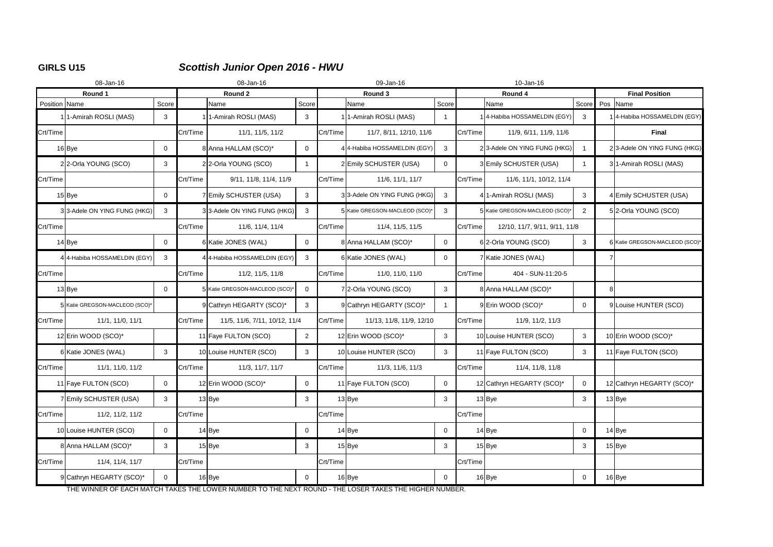# **GIRLS U15** *Scottish Junior Open 2016 - HWU*

|               | 08-Jan-16                      |                | 08-Jan-16 |                               |                | 09-Jan-16 |                                | 10-Jan-16      |          |                                |                |                       |                                |  |
|---------------|--------------------------------|----------------|-----------|-------------------------------|----------------|-----------|--------------------------------|----------------|----------|--------------------------------|----------------|-----------------------|--------------------------------|--|
|               | Round 1                        |                | Round 2   |                               |                |           | Round 3                        |                |          | Round 4                        |                | <b>Final Position</b> |                                |  |
| Position Name |                                | Score          |           | Name                          | Score          |           | Name                           | Score          |          | Name                           | Score Pos Name |                       |                                |  |
|               | 1-Amirah ROSLI (MAS)           | 3              |           | 1-Amirah ROSLI (MAS)          | 3              |           | 1-Amirah ROSLI (MAS)           |                |          | 4-Habiba HOSSAMELDIN (EGY)     | 3              |                       | 4-Habiba HOSSAMELDIN (EGY)     |  |
| Crt/Time      |                                |                | Crt/Time  | 11/1, 11/5, 11/2              |                | Crt/Time  | 11/7, 8/11, 12/10, 11/6        |                | Crt/Time | 11/9, 6/11, 11/9, 11/6         |                |                       | <b>Final</b>                   |  |
|               | $16$ Bye                       | $\overline{0}$ |           | 8 Anna HALLAM (SCO)*          | $\overline{0}$ |           | 4 4-Habiba HOSSAMELDIN (EGY)   | 3              |          | 23-Adele ON YING FUNG (HKG)    |                |                       | 23-Adele ON YING FUNG (HKG)    |  |
|               | 22-Orla YOUNG (SCO)            | 3              |           | 22-Orla YOUNG (SCO)           | $\mathbf{1}$   |           | 2Emily SCHUSTER (USA)          | $\overline{0}$ |          | 3 Emily SCHUSTER (USA)         |                |                       | 31-Amirah ROSLI (MAS)          |  |
| Crt/Time      |                                |                | Crt/Time  | 9/11, 11/8, 11/4, 11/9        |                | Crt/Time  | 11/6, 11/1, 11/7               |                | Crt/Time | 11/6, 11/1, 10/12, 11/4        |                |                       |                                |  |
|               | $15$ Bye                       | $\Omega$       |           | 7 Emily SCHUSTER (USA)        | 3              |           | 33-Adele ON YING FUNG (HKG)    | $\mathbf{3}$   |          | 4 1-Amirah ROSLI (MAS)         | $\mathbf{3}$   |                       | 4 Emily SCHUSTER (USA)         |  |
|               | 33-Adele ON YING FUNG (HKG)    | 3              |           | 33-Adele ON YING FUNG (HKG)   | 3              |           | 5 Katie GREGSON-MACLEOD (SCO)* | 3              |          | 5 Katie GREGSON-MACLEOD (SCO)* | 2              |                       | 52-Orla YOUNG (SCO)            |  |
| Crt/Time      |                                |                | Crt/Time  | 11/6, 11/4, 11/4              |                | Crt/Time  | 11/4, 11/5, 11/5               |                | Crt/Time | 12/10, 11/7, 9/11, 9/11, 11/8  |                |                       |                                |  |
|               | $14$ Bye                       | $\mathbf 0$    |           | 6 Katie JONES (WAL)           | $\overline{0}$ |           | 8 Anna HALLAM (SCO)*           | $\overline{0}$ |          | 6 2-Orla YOUNG (SCO)           | $\mathbf{3}$   |                       | 6 Katie GREGSON-MACLEOD (SCO)* |  |
|               | 4 4-Habiba HOSSAMELDIN (EGY)   | 3              |           | 4 4-Habiba HOSSAMELDIN (EGY)  | 3              |           | 6 Katie JONES (WAL)            | $\overline{0}$ |          | 7 Katie JONES (WAL)            |                |                       |                                |  |
| Crt/Time      |                                |                | Crt/Time  | 11/2, 11/5, 11/8              |                | Crt/Time  | 11/0, 11/0, 11/0               |                | Crt/Time | 404 - SUN-11:20-5              |                |                       |                                |  |
|               | $13$ Bye                       | $\mathbf 0$    |           | 5 Katie GREGSON-MACLEOD (SCO) | $\overline{0}$ |           | 72-Orla YOUNG (SCO)            | $\mathbf{3}$   |          | 8 Anna HALLAM (SCO)*           |                |                       |                                |  |
|               | 5 Katie GREGSON-MACLEOD (SCO)* |                |           | 9 Cathryn HEGARTY (SCO)*      | 3              |           | 9 Cathryn HEGARTY (SCO)*       |                |          | 9Erin WOOD (SCO)*              | $\Omega$       |                       | 9 Louise HUNTER (SCO)          |  |
| Crt/Time      | 11/1, 11/0, 11/1               |                | Crt/Time  | 11/5, 11/6, 7/11, 10/12, 11/4 |                | Crt/Time  | 11/13, 11/8, 11/9, 12/10       |                | Crt/Time | 11/9, 11/2, 11/3               |                |                       |                                |  |
|               | 12 Erin WOOD (SCO)*            |                |           | 11 Faye FULTON (SCO)          | $\overline{2}$ |           | 12 Erin WOOD (SCO)*            | 3 <sup>1</sup> |          | 10 Louise HUNTER (SCO)         | $\mathbf{3}$   |                       | 10 Erin WOOD (SCO)*            |  |
|               | 6 Katie JONES (WAL)            | 3              |           | 10 Louise HUNTER (SCO)        | 3              |           | 10 Louise HUNTER (SCO)         | $\mathbf{3}$   |          | 11 Faye FULTON (SCO)           | $\mathbf{3}$   |                       | 11 Faye FULTON (SCO)           |  |
| Crt/Time      | 11/1, 11/0, 11/2               |                | Crt/Time  | 11/3, 11/7, 11/7              |                | Crt/Time  | 11/3, 11/6, 11/3               |                | Crt/Time | 11/4, 11/8, 11/8               |                |                       |                                |  |
|               | 11 Faye FULTON (SCO)           | $\mathbf 0$    |           | 12 Erin WOOD (SCO)*           | $\overline{0}$ |           | 11 Faye FULTON (SCO)           | $\overline{0}$ |          | 12 Cathryn HEGARTY (SCO)*      | $\mathbf 0$    |                       | 12 Cathryn HEGARTY (SCO)*      |  |
|               | 7Emily SCHUSTER (USA)          | $\mathbf{3}$   |           | $13$ Bye                      | $\mathbf{3}$   |           | $13$ Bye                       | $\mathbf{3}$   |          | $13$ Bye                       | $\mathbf{3}$   |                       | $13$ Bye                       |  |
| Crt/Time      | 11/2, 11/2, 11/2               |                | Crt/Time  |                               |                | Crt/Time  |                                |                | Crt/Time |                                |                |                       |                                |  |
|               | 10 Louise HUNTER (SCO)         | $\overline{0}$ |           | $14$ Bye                      | $\mathbf 0$    |           | $14$ Bye                       | $\mathbf{0}$   |          | $14$ Bye                       | $\overline{0}$ |                       | $14$ Bye                       |  |
|               | 8 Anna HALLAM (SCO)*           | $\mathbf{3}$   |           | $15$ Bye                      | $\mathbf{3}$   |           | $15$ Bye                       | $\mathbf{3}$   |          | $15$ Bye                       | 3              |                       | $15$ Bye                       |  |
| Crt/Time      | 11/4, 11/4, 11/7               |                | Crt/Time  |                               |                | Crt/Time  |                                |                | Crt/Time |                                |                |                       |                                |  |
|               | 9 Cathryn HEGARTY (SCO)*       | $\overline{0}$ |           | $16$ Bye                      | $\overline{0}$ |           | $16$ Bye                       | $\mathbf 0$    |          | $16$ Bye                       | $\overline{0}$ |                       | 16 Bye                         |  |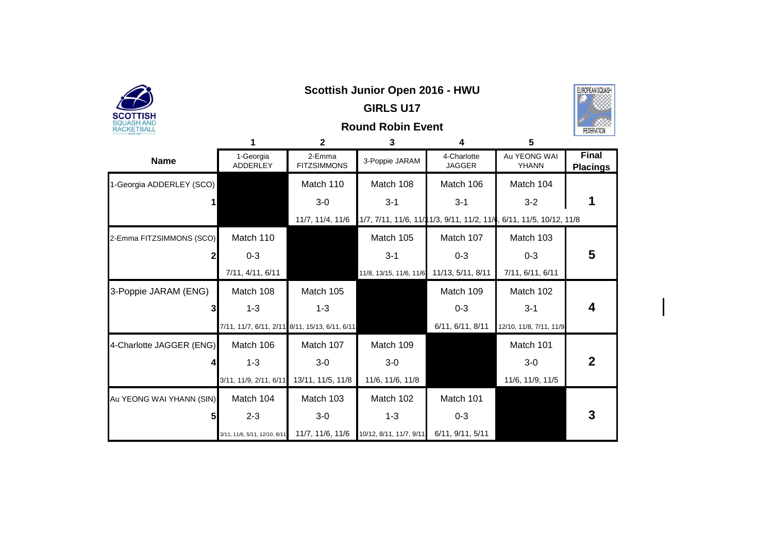| SCOTTISH                 |                                                |                              | <b>GIRLS U17</b>                          |                              |                                                                      |                                 |
|--------------------------|------------------------------------------------|------------------------------|-------------------------------------------|------------------------------|----------------------------------------------------------------------|---------------------------------|
| SQUASH AND<br>RACKETBALL |                                                |                              | <b>Round Robin Event</b>                  |                              |                                                                      | FEDERATIO                       |
|                          | 1                                              | $\mathbf{2}$                 | 3                                         | 4                            | 5                                                                    |                                 |
| <b>Name</b>              | 1-Georgia<br><b>ADDERLEY</b>                   | 2-Emma<br><b>FITZSIMMONS</b> | 3-Poppie JARAM                            | 4-Charlotte<br><b>JAGGER</b> | Au YEONG WAI<br>YHANN                                                | <b>Final</b><br><b>Placings</b> |
| 1-Georgia ADDERLEY (SCO) |                                                | Match 110                    | Match 108                                 | Match 106                    | Match 104                                                            |                                 |
| 1                        |                                                | $3-0$                        | $3 - 1$                                   | $3 - 1$                      | $3 - 2$                                                              |                                 |
|                          |                                                | 11/7, 11/4, 11/6             |                                           |                              | 1/7, 7/11, 11/6, 11/1 1/3, 9/11, 11/2, 11/1, 6/11, 11/5, 10/12, 11/8 |                                 |
| 2-Emma FITZSIMMONS (SCO) | Match 110                                      |                              | Match 105                                 | Match 107                    | Match 103                                                            |                                 |
|                          | $0 - 3$                                        |                              | $3 - 1$                                   | $0 - 3$                      | $0 - 3$                                                              | 5                               |
|                          | 7/11, 4/11, 6/11                               |                              | 11/8, 13/15, 11/6, 11/6 11/13, 5/11, 8/11 |                              | 7/11, 6/11, 6/11                                                     |                                 |
| 3-Poppie JARAM (ENG)     | Match 108                                      | Match 105                    |                                           | Match 109                    | Match 102                                                            |                                 |
| 3                        | $1 - 3$                                        | $1 - 3$                      |                                           | $0 - 3$                      | $3 - 1$                                                              | 4                               |
|                          | 7/11, 11/7, 6/11, 2/11 8/11, 15/13, 6/11, 6/11 |                              |                                           | 6/11, 6/11, 8/11             | 12/10, 11/8, 7/11, 11/9                                              |                                 |
| 4-Charlotte JAGGER (ENG) | Match 106                                      | Match 107                    | Match 109                                 |                              | Match 101                                                            |                                 |
|                          | $1 - 3$                                        | $3-0$                        | $3-0$                                     |                              | $3-0$                                                                | $\mathbf{2}$                    |
|                          | 3/11, 11/9, 2/11, 6/11                         | 13/11, 11/5, 11/8            | 11/6, 11/6, 11/8                          |                              | 11/6, 11/9, 11/5                                                     |                                 |
| Au YEONG WAI YHANN (SIN) | Match 104                                      | Match 103                    | Match 102                                 | Match 101                    |                                                                      |                                 |
| 51                       | $2 - 3$                                        | $3-0$                        | $1 - 3$                                   | $0 - 3$                      |                                                                      | 3                               |
|                          | 3/11, 11/6, 5/11, 12/10, 8/11                  | 11/7, 11/6, 11/6             | 10/12, 8/11, 11/7, 9/11                   | 6/11, 9/11, 5/11             |                                                                      |                                 |



### **Scottish Junior Open 2016 - HWU**